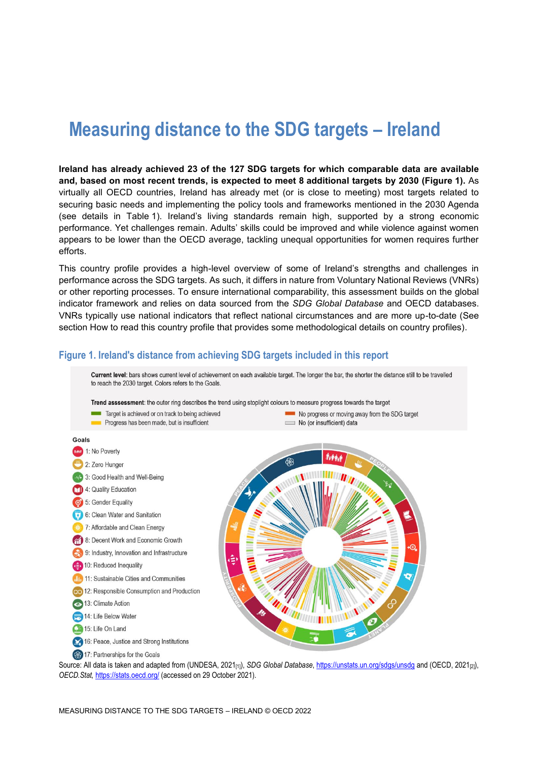# **Measuring distance to the SDG targets – Ireland**

**Ireland has already achieved 23 of the 127 SDG targets for which comparable data are available and, based on most recent trends, is expected to meet 8 additional targets by 2030 [\(Figure](#page-0-0) 1).** As virtually all OECD countries, Ireland has already met (or is close to meeting) most targets related to securing basic needs and implementing the policy tools and frameworks mentioned in the 2030 Agenda (see details in [Table](#page-2-0) 1). Ireland's living standards remain high, supported by a strong economic performance. Yet challenges remain. Adults' skills could be improved and while violence against women appears to be lower than the OECD average, tackling unequal opportunities for women requires further efforts.

This country profile provides a high-level overview of some of Ireland's strengths and challenges in performance across the SDG targets. As such, it differs in nature from Voluntary National Reviews (VNRs) or other reporting processes. To ensure international comparability, this assessment builds on the global indicator framework and relies on data sourced from the *SDG Global Database* and OECD databases. VNRs typically use national indicators that reflect national circumstances and are more up-to-date (See section [How to read this](#page-7-0) country profile that provides some methodological details on country profiles).

#### <span id="page-0-0"></span>**Figure 1. Ireland's distance from achieving SDG targets included in this report**



Source: All data is taken and adapted from (UNDESA, 2021<sub>[1]</sub>), *SDG Global Database*[, https://unstats.un.org/sdgs/unsdg](https://unstats.un.org/sdgs/unsdg) and (OECD, 2021<sub>[2]</sub>), *OECD.Stat,* <https://stats.oecd.org/> (accessed on 29 October 2021).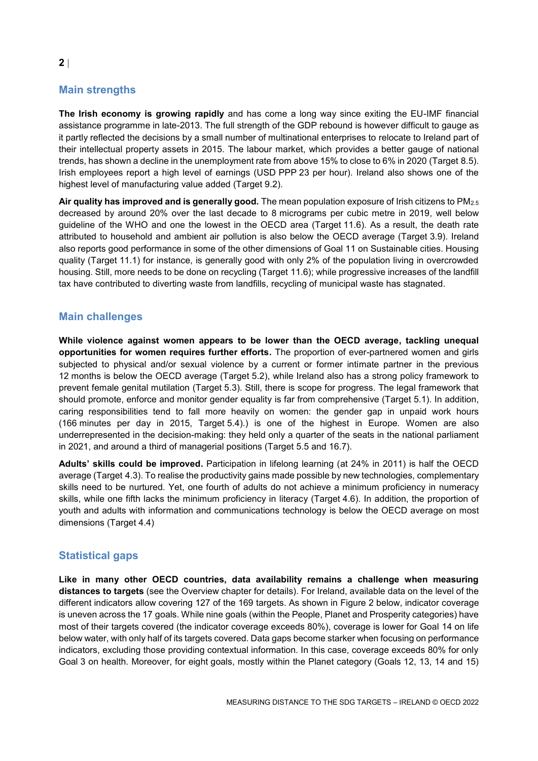# **Main strengths**

**The Irish economy is growing rapidly** and has come a long way since exiting the EU-IMF financial assistance programme in late-2013. The full strength of the GDP rebound is however difficult to gauge as it partly reflected the decisions by a small number of multinational enterprises to relocate to Ireland part of their intellectual property assets in 2015. The labour market, which provides a better gauge of national trends, has shown a decline in the unemployment rate from above 15% to close to 6% in 2020 (Target 8.5). Irish employees report a high level of earnings (USD PPP 23 per hour). Ireland also shows one of the highest level of manufacturing value added (Target 9.2).

**Air quality has improved and is generally good.** The mean population exposure of Irish citizens to PM2.5 decreased by around 20% over the last decade to 8 micrograms per cubic metre in 2019, well below guideline of the WHO and one the lowest in the OECD area (Target 11.6). As a result, the death rate attributed to household and ambient air pollution is also below the OECD average (Target 3.9). Ireland also reports good performance in some of the other dimensions of Goal 11 on Sustainable cities. Housing quality (Target 11.1) for instance, is generally good with only 2% of the population living in overcrowded housing. Still, more needs to be done on recycling (Target 11.6); while progressive increases of the landfill tax have contributed to diverting waste from landfills, recycling of municipal waste has stagnated.

## **Main challenges**

**While violence against women appears to be lower than the OECD average, tackling unequal opportunities for women requires further efforts.** The proportion of ever-partnered women and girls subjected to physical and/or sexual violence by a current or former intimate partner in the previous 12 months is below the OECD average (Target 5.2), while Ireland also has a strong policy framework to prevent female genital mutilation (Target 5.3). Still, there is scope for progress. The legal framework that should promote, enforce and monitor gender equality is far from comprehensive (Target 5.1). In addition, caring responsibilities tend to fall more heavily on women: the gender gap in unpaid work hours (166 minutes per day in 2015, Target 5.4).) is one of the highest in Europe. Women are also underrepresented in the decision-making: they held only a quarter of the seats in the national parliament in 2021, and around a third of managerial positions (Target 5.5 and 16.7).

**Adults' skills could be improved.** Participation in lifelong learning (at 24% in 2011) is half the OECD average (Target 4.3). To realise the productivity gains made possible by new technologies, complementary skills need to be nurtured. Yet, one fourth of adults do not achieve a minimum proficiency in numeracy skills, while one fifth lacks the minimum proficiency in literacy (Target 4.6). In addition, the proportion of youth and adults with information and communications technology is below the OECD average on most dimensions (Target 4.4)

## **Statistical gaps**

**Like in many other OECD countries, data availability remains a challenge when measuring distances to targets** (see the Overview chapter for details). For Ireland, available data on the level of the different indicators allow covering 127 of the 169 targets. As shown in [Figure](#page-2-1) 2 below, indicator coverage is uneven across the 17 goals. While nine goals (within the People, Planet and Prosperity categories) have most of their targets covered (the indicator coverage exceeds 80%), coverage is lower for Goal 14 on life below water, with only half of its targets covered. Data gaps become starker when focusing on performance indicators, excluding those providing contextual information. In this case, coverage exceeds 80% for only Goal 3 on health. Moreover, for eight goals, mostly within the Planet category (Goals 12, 13, 14 and 15)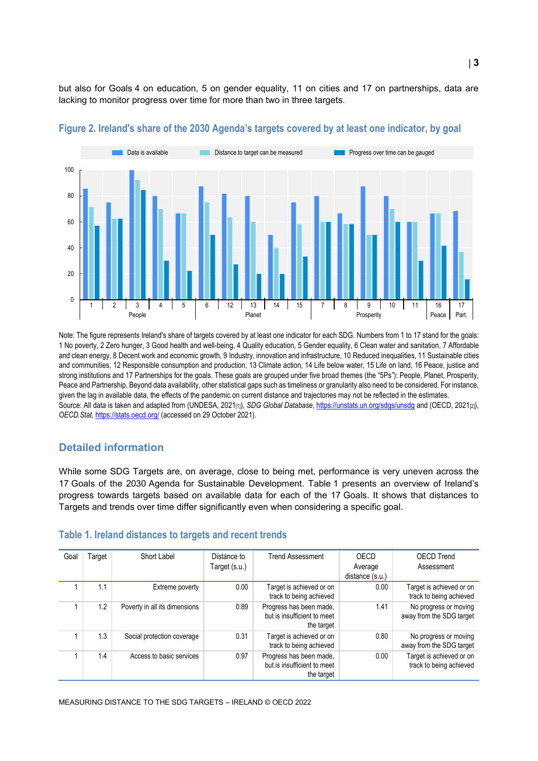but also for Goals 4 on education, 5 on gender equality, 11 on cities and 17 on partnerships, data are lacking to monitor progress over time for more than two in three targets.



#### <span id="page-2-1"></span>**Figure 2. Ireland's share of the 2030 Agenda's targets covered by at least one indicator, by goal**

Note: The figure represents Ireland's share of targets covered by at least one indicator for each SDG. Numbers from 1 to 17 stand for the goals: 1 No poverty, 2 Zero hunger, 3 Good health and well-being, 4 Quality education, 5 Gender equality, 6 Clean water and sanitation, 7 Affordable and clean energy, 8 Decent work and economic growth, 9 Industry, innovation and infrastructure, 10 Reduced inequalities, 11 Sustainable cities and communities, 12 Responsible consumption and production, 13 Climate action, 14 Life below water, 15 Life on land, 16 Peace, justice and strong institutions and 17 Partnerships for the goals. These goals are grouped under five broad themes (the "5Ps"): People, Planet, Prosperity, Peace and Partnership. Beyond data availability, other statistical gaps such as timeliness or granularity also need to be considered. For instance, given the lag in available data, the effects of the pandemic on current distance and trajectories may not be reflected in the estimates. Source: All data is taken and adapted from (UNDESA, 2021<sub>[1]</sub>), *SDG Global Database*[, https://unstats.un.org/sdgs/unsdg](https://unstats.un.org/sdgs/unsdg) and (OECD, 2021<sub>[2]</sub>), *OECD.Stat,* <https://stats.oecd.org/> (accessed on 29 October 2021).

## **Detailed information**

While some SDG Targets are, on average, close to being met, performance is very uneven across the 17 Goals of the 2030 Agenda for Sustainable Development. [Table](#page-2-0) 1 presents an overview of Ireland's progress towards targets based on available data for each of the 17 Goals. It shows that distances to Targets and trends over time differ significantly even when considering a specific goal.

#### <span id="page-2-0"></span>**Table 1. Ireland distances to targets and recent trends**

| Goal | Гarget | Short Label                   | Distance to<br>Target (s.u.) | <b>Trend Assessment</b>                                              | OECD<br>Average<br>distance (s.u.) | <b>OECD Trend</b><br>Assessment                     |
|------|--------|-------------------------------|------------------------------|----------------------------------------------------------------------|------------------------------------|-----------------------------------------------------|
|      | 1.1    | Extreme poverty               | 0.00                         | Target is achieved or on<br>track to being achieved                  | 0.00                               | Target is achieved or on<br>track to being achieved |
|      | 1.2    | Poverty in all its dimensions | 0.89                         | Progress has been made,<br>but is insufficient to meet<br>the target | 1.41                               | No progress or moving<br>away from the SDG target   |
|      | 1.3    | Social protection coverage    | 0.31                         | Target is achieved or on<br>track to being achieved                  | 0.80                               | No progress or moving<br>away from the SDG target   |
|      | 1.4    | Access to basic services      | 0.97                         | Progress has been made,<br>but is insufficient to meet<br>the target | 0.00                               | Target is achieved or on<br>track to being achieved |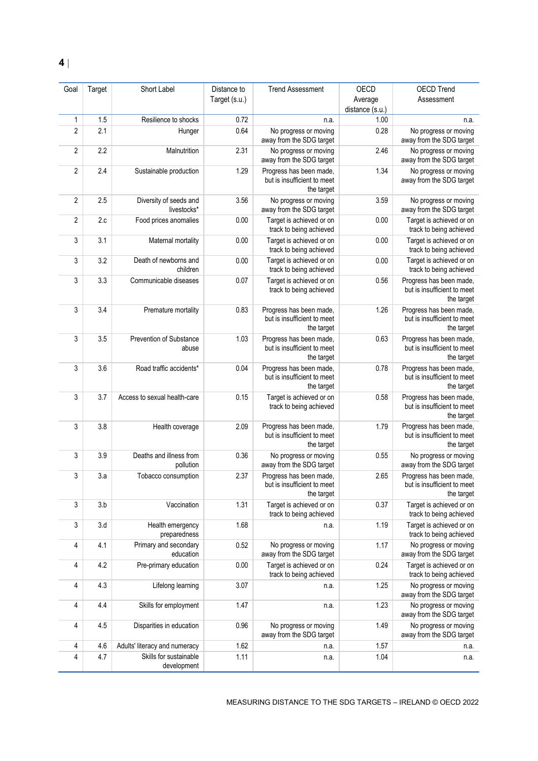| Goal           | Target | Short Label                           | Distance to   | <b>Trend Assessment</b>                                              | OECD                       | <b>OECD Trend</b>                                                    |
|----------------|--------|---------------------------------------|---------------|----------------------------------------------------------------------|----------------------------|----------------------------------------------------------------------|
|                |        |                                       | Target (s.u.) |                                                                      | Average<br>distance (s.u.) | Assessment                                                           |
| 1              | 1.5    | Resilience to shocks                  | 0.72          | n.a.                                                                 | 1.00                       | n.a.                                                                 |
| $\overline{2}$ | 2.1    | Hunger                                | 0.64          | No progress or moving<br>away from the SDG target                    | 0.28                       | No progress or moving<br>away from the SDG target                    |
| $\overline{2}$ | 2.2    | Malnutrition                          | 2.31          | No progress or moving<br>away from the SDG target                    | 2.46                       | No progress or moving<br>away from the SDG target                    |
| $\overline{2}$ | 2.4    | Sustainable production                | 1.29          | Progress has been made,<br>but is insufficient to meet<br>the target | 1.34                       | No progress or moving<br>away from the SDG target                    |
| $\overline{2}$ | 2.5    | Diversity of seeds and<br>livestocks* | 3.56          | No progress or moving<br>away from the SDG target                    | 3.59                       | No progress or moving<br>away from the SDG target                    |
| 2              | 2.c    | Food prices anomalies                 | 0.00          | Target is achieved or on<br>track to being achieved                  | 0.00                       | Target is achieved or on<br>track to being achieved                  |
| 3              | 3.1    | Maternal mortality                    | 0.00          | Target is achieved or on<br>track to being achieved                  | 0.00                       | Target is achieved or on<br>track to being achieved                  |
| 3              | 3.2    | Death of newborns and<br>children     | 0.00          | Target is achieved or on<br>track to being achieved                  | 0.00                       | Target is achieved or on<br>track to being achieved                  |
| 3              | 3.3    | Communicable diseases                 | 0.07          | Target is achieved or on<br>track to being achieved                  | 0.56                       | Progress has been made.<br>but is insufficient to meet<br>the target |
| 3              | 3.4    | Premature mortality                   | 0.83          | Progress has been made,<br>but is insufficient to meet<br>the target | 1.26                       | Progress has been made,<br>but is insufficient to meet<br>the target |
| 3              | 3.5    | Prevention of Substance<br>abuse      | 1.03          | Progress has been made,<br>but is insufficient to meet<br>the target | 0.63                       | Progress has been made,<br>but is insufficient to meet<br>the target |
| 3              | 3.6    | Road traffic accidents*               | 0.04          | Progress has been made,<br>but is insufficient to meet<br>the target | 0.78                       | Progress has been made,<br>but is insufficient to meet<br>the target |
| 3              | 3.7    | Access to sexual health-care          | 0.15          | Target is achieved or on<br>track to being achieved                  | 0.58                       | Progress has been made,<br>but is insufficient to meet<br>the target |
| 3              | 3.8    | Health coverage                       | 2.09          | Progress has been made,<br>but is insufficient to meet<br>the target | 1.79                       | Progress has been made,<br>but is insufficient to meet<br>the target |
| 3              | 3.9    | Deaths and illness from<br>pollution  | 0.36          | No progress or moving<br>away from the SDG target                    | 0.55                       | No progress or moving<br>away from the SDG target                    |
| 3              | 3.a    | Tobacco consumption                   | 2.37          | Progress has been made,<br>but is insufficient to meet<br>the target | 2.65                       | Progress has been made,<br>but is insufficient to meet<br>the target |
| 3              | 3.b    | Vaccination                           | 1.31          | Target is achieved or on<br>track to being achieved                  | 0.37                       | Target is achieved or on<br>track to being achieved                  |
| 3              | 3.d    | Health emergency<br>preparedness      | 1.68          | n.a.                                                                 | 1.19                       | Target is achieved or on<br>track to being achieved                  |
| 4              | 4.1    | Primary and secondary<br>education    | 0.52          | No progress or moving<br>away from the SDG target                    | 1.17                       | No progress or moving<br>away from the SDG target                    |
| 4              | 4.2    | Pre-primary education                 | 0.00          | Target is achieved or on<br>track to being achieved                  | 0.24                       | Target is achieved or on<br>track to being achieved                  |
| 4              | 4.3    | Lifelong learning                     | 3.07          | n.a.                                                                 | 1.25                       | No progress or moving<br>away from the SDG target                    |
| 4              | 4.4    | Skills for employment                 | 1.47          | n.a.                                                                 | 1.23                       | No progress or moving<br>away from the SDG target                    |
| 4              | 4.5    | Disparities in education              | 0.96          | No progress or moving<br>away from the SDG target                    | 1.49                       | No progress or moving<br>away from the SDG target                    |
| 4              | 4.6    | Adults' literacy and numeracy         | 1.62          | n.a.                                                                 | 1.57                       | n.a.                                                                 |
| 4              | 4.7    | Skills for sustainable<br>development | 1.11          | n.a.                                                                 | 1.04                       | n.a.                                                                 |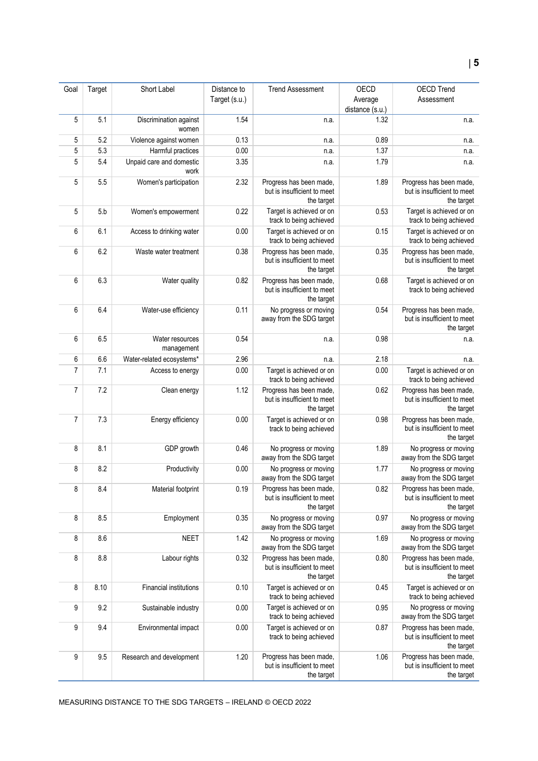| Goal           | Target | Short Label                      | Distance to   | <b>Trend Assessment</b>                                              | OECD            | OECD Trend                                                           |
|----------------|--------|----------------------------------|---------------|----------------------------------------------------------------------|-----------------|----------------------------------------------------------------------|
|                |        |                                  | Target (s.u.) |                                                                      | Average         | Assessment                                                           |
|                |        |                                  |               |                                                                      | distance (s.u.) |                                                                      |
| 5              | 5.1    | Discrimination against<br>women  | 1.54          | n.a.                                                                 | 1.32            | n.a.                                                                 |
| 5              | 5.2    | Violence against women           | 0.13          | n.a.                                                                 | 0.89            | n.a.                                                                 |
| 5              | 5.3    | Harmful practices                | 0.00          | n.a.                                                                 | 1.37            | n.a.                                                                 |
| 5              | 5.4    | Unpaid care and domestic<br>work | 3.35          | n.a.                                                                 | 1.79            | n.a.                                                                 |
| 5              | 5.5    | Women's participation            | 2.32          | Progress has been made,<br>but is insufficient to meet<br>the target | 1.89            | Progress has been made,<br>but is insufficient to meet<br>the target |
| 5              | 5.b    | Women's empowerment              | 0.22          | Target is achieved or on<br>track to being achieved                  | 0.53            | Target is achieved or on<br>track to being achieved                  |
| 6              | 6.1    | Access to drinking water         | 0.00          | Target is achieved or on<br>track to being achieved                  | 0.15            | Target is achieved or on<br>track to being achieved                  |
| 6              | 6.2    | Waste water treatment            | 0.38          | Progress has been made,<br>but is insufficient to meet<br>the target | 0.35            | Progress has been made,<br>but is insufficient to meet<br>the target |
| 6              | 6.3    | Water quality                    | 0.82          | Progress has been made,<br>but is insufficient to meet<br>the target | 0.68            | Target is achieved or on<br>track to being achieved                  |
| 6              | 6.4    | Water-use efficiency             | 0.11          | No progress or moving<br>away from the SDG target                    | 0.54            | Progress has been made,<br>but is insufficient to meet<br>the target |
| 6              | 6.5    | Water resources<br>management    | 0.54          | n.a.                                                                 | 0.98            | n.a.                                                                 |
| 6              | 6.6    | Water-related ecosystems*        | 2.96          | n.a.                                                                 | 2.18            | n.a.                                                                 |
| $\overline{7}$ | 7.1    | Access to energy                 | 0.00          | Target is achieved or on<br>track to being achieved                  | 0.00            | Target is achieved or on<br>track to being achieved                  |
| $\overline{7}$ | 7.2    | Clean energy                     | 1.12          | Progress has been made,<br>but is insufficient to meet<br>the target | 0.62            | Progress has been made,<br>but is insufficient to meet<br>the target |
| $\overline{7}$ | 7.3    | Energy efficiency                | 0.00          | Target is achieved or on<br>track to being achieved                  | 0.98            | Progress has been made,<br>but is insufficient to meet<br>the target |
| 8              | 8.1    | GDP growth                       | 0.46          | No progress or moving<br>away from the SDG target                    | 1.89            | No progress or moving<br>away from the SDG target                    |
| 8              | 8.2    | Productivity                     | 0.00          | No progress or moving<br>away from the SDG target                    | 1.77            | No progress or moving<br>away from the SDG target                    |
| 8              | 8.4    | Material footprint               | 0.19          | Progress has been made,<br>but is insufficient to meet<br>the target | 0.82            | Progress has been made,<br>but is insufficient to meet<br>the target |
| 8              | 8.5    | Employment                       | 0.35          | No progress or moving<br>away from the SDG target                    | 0.97            | No progress or moving<br>away from the SDG target                    |
| 8              | 8.6    | <b>NEET</b>                      | 1.42          | No progress or moving<br>away from the SDG target                    | 1.69            | No progress or moving<br>away from the SDG target                    |
| 8              | 8.8    | Labour rights                    | 0.32          | Progress has been made,<br>but is insufficient to meet<br>the target | 0.80            | Progress has been made,<br>but is insufficient to meet<br>the target |
| 8              | 8.10   | <b>Financial institutions</b>    | 0.10          | Target is achieved or on<br>track to being achieved                  | 0.45            | Target is achieved or on<br>track to being achieved                  |
| 9              | 9.2    | Sustainable industry             | 0.00          | Target is achieved or on<br>track to being achieved                  | 0.95            | No progress or moving<br>away from the SDG target                    |
| 9              | 9.4    | Environmental impact             | 0.00          | Target is achieved or on<br>track to being achieved                  | 0.87            | Progress has been made,<br>but is insufficient to meet<br>the target |
| 9              | 9.5    | Research and development         | 1.20          | Progress has been made,<br>but is insufficient to meet<br>the target | 1.06            | Progress has been made,<br>but is insufficient to meet<br>the target |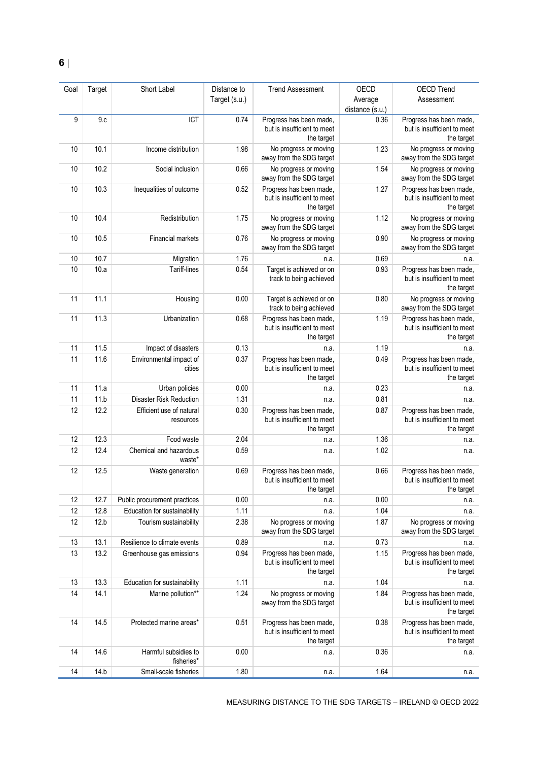| Goal | Target | Short Label                           | Distance to   | <b>Trend Assessment</b>                                              | OECD            | <b>OECD Trend</b>                                                    |
|------|--------|---------------------------------------|---------------|----------------------------------------------------------------------|-----------------|----------------------------------------------------------------------|
|      |        |                                       | Target (s.u.) |                                                                      | Average         | Assessment                                                           |
|      |        |                                       |               |                                                                      | distance (s.u.) |                                                                      |
| 9    | 9.c    | ICT                                   | 0.74          | Progress has been made,<br>but is insufficient to meet<br>the target | 0.36            | Progress has been made,<br>but is insufficient to meet<br>the target |
| 10   | 10.1   | Income distribution                   | 1.98          | No progress or moving<br>away from the SDG target                    | 1.23            | No progress or moving<br>away from the SDG target                    |
| 10   | 10.2   | Social inclusion                      | 0.66          | No progress or moving<br>away from the SDG target                    | 1.54            | No progress or moving<br>away from the SDG target                    |
| 10   | 10.3   | Inequalities of outcome               | 0.52          | Progress has been made,<br>but is insufficient to meet<br>the target | 1.27            | Progress has been made,<br>but is insufficient to meet<br>the target |
| 10   | 10.4   | Redistribution                        | 1.75          | No progress or moving<br>away from the SDG target                    | 1.12            | No progress or moving<br>away from the SDG target                    |
| 10   | 10.5   | Financial markets                     | 0.76          | No progress or moving<br>away from the SDG target                    | 0.90            | No progress or moving<br>away from the SDG target                    |
| 10   | 10.7   | Migration                             | 1.76          | n.a.                                                                 | 0.69            | n.a.                                                                 |
| 10   | 10.a   | Tariff-lines                          | 0.54          | Target is achieved or on<br>track to being achieved                  | 0.93            | Progress has been made,<br>but is insufficient to meet<br>the target |
| 11   | 11.1   | Housing                               | 0.00          | Target is achieved or on<br>track to being achieved                  | 0.80            | No progress or moving<br>away from the SDG target                    |
| 11   | 11.3   | Urbanization                          | 0.68          | Progress has been made,<br>but is insufficient to meet<br>the target | 1.19            | Progress has been made,<br>but is insufficient to meet<br>the target |
| 11   | 11.5   | Impact of disasters                   | 0.13          | n.a.                                                                 | 1.19            | n.a.                                                                 |
| 11   | 11.6   | Environmental impact of<br>cities     | 0.37          | Progress has been made,<br>but is insufficient to meet<br>the target | 0.49            | Progress has been made,<br>but is insufficient to meet<br>the target |
| 11   | 11.a   | Urban policies                        | 0.00          | n.a.                                                                 | 0.23            | n.a.                                                                 |
| 11   | 11.b   | <b>Disaster Risk Reduction</b>        | 1.31          | n.a.                                                                 | 0.81            | n.a.                                                                 |
| 12   | 12.2   | Efficient use of natural<br>resources | 0.30          | Progress has been made,<br>but is insufficient to meet<br>the target | 0.87            | Progress has been made,<br>but is insufficient to meet<br>the target |
| 12   | 12.3   | Food waste                            | 2.04          | n.a.                                                                 | 1.36            | n.a.                                                                 |
| 12   | 12.4   | Chemical and hazardous<br>waste*      | 0.59          | n.a.                                                                 | 1.02            | n.a.                                                                 |
| 12   | 12.5   | Waste generation                      | 0.69          | Progress has been made,<br>but is insufficient to meet<br>the target | 0.66            | Progress has been made,<br>but is insufficient to meet<br>the target |
| 12   | 12.7   | Public procurement practices          | 0.00          | n.a.                                                                 | 0.00            | n.a.                                                                 |
| 12   | 12.8   | Education for sustainability          | 1.11          | n.a.                                                                 | 1.04            | n.a.                                                                 |
| 12   | 12.b   | Tourism sustainability                | 2.38          | No progress or moving<br>away from the SDG target                    | 1.87            | No progress or moving<br>away from the SDG target                    |
| 13   | 13.1   | Resilience to climate events          | 0.89          | n.a.                                                                 | 0.73            | n.a.                                                                 |
| 13   | 13.2   | Greenhouse gas emissions              | 0.94          | Progress has been made,<br>but is insufficient to meet<br>the target | 1.15            | Progress has been made,<br>but is insufficient to meet<br>the target |
| 13   | 13.3   | Education for sustainability          | 1.11          | n.a.                                                                 | 1.04            | n.a.                                                                 |
| 14   | 14.1   | Marine pollution**                    | 1.24          | No progress or moving<br>away from the SDG target                    | 1.84            | Progress has been made,<br>but is insufficient to meet<br>the target |
| 14   | 14.5   | Protected marine areas*               | 0.51          | Progress has been made,<br>but is insufficient to meet<br>the target | 0.38            | Progress has been made,<br>but is insufficient to meet<br>the target |
| 14   | 14.6   | Harmful subsidies to<br>fisheries*    | 0.00          | n.a.                                                                 | 0.36            | n.a.                                                                 |
| 14   | 14.b   | Small-scale fisheries                 | 1.80          | n.a.                                                                 | 1.64            | n.a.                                                                 |

MEASURING DISTANCE TO THE SDG TARGETS – IRELAND © OECD 2022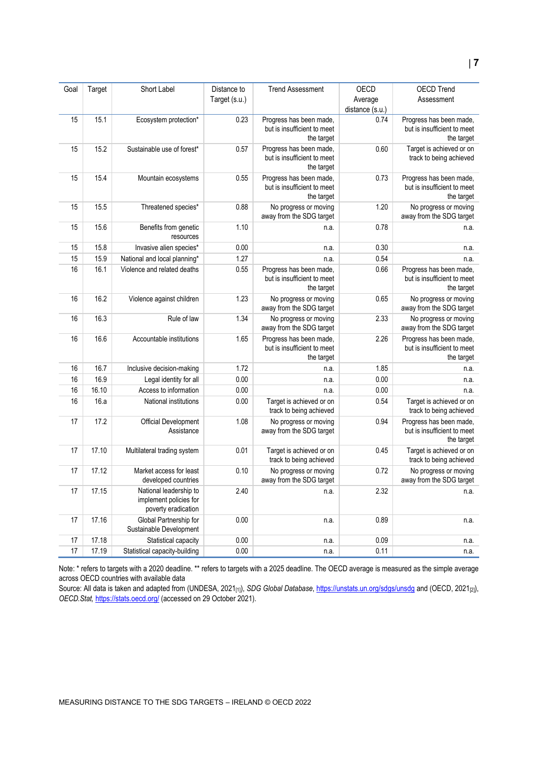| Goal | Target | Short Label                                                             | Distance to<br>Target (s.u.) | <b>Trend Assessment</b>                                              | <b>OECD</b><br>Average<br>distance (s.u.) | <b>OECD Trend</b><br>Assessment                                      |
|------|--------|-------------------------------------------------------------------------|------------------------------|----------------------------------------------------------------------|-------------------------------------------|----------------------------------------------------------------------|
| 15   | 15.1   | Ecosystem protection*                                                   | 0.23                         | Progress has been made,<br>but is insufficient to meet<br>the target | 0.74                                      | Progress has been made,<br>but is insufficient to meet<br>the target |
| 15   | 15.2   | Sustainable use of forest*                                              | 0.57                         | Progress has been made,<br>but is insufficient to meet<br>the target | 0.60                                      | Target is achieved or on<br>track to being achieved                  |
| 15   | 15.4   | Mountain ecosystems                                                     | 0.55                         | Progress has been made,<br>but is insufficient to meet<br>the target | 0.73                                      | Progress has been made,<br>but is insufficient to meet<br>the target |
| 15   | 15.5   | Threatened species*                                                     | 0.88                         | No progress or moving<br>away from the SDG target                    | 1.20                                      | No progress or moving<br>away from the SDG target                    |
| 15   | 15.6   | Benefits from genetic<br>resources                                      | 1.10                         | n.a.                                                                 | 0.78                                      | n.a.                                                                 |
| 15   | 15.8   | Invasive alien species*                                                 | 0.00                         | n.a.                                                                 | 0.30                                      | n.a.                                                                 |
| 15   | 15.9   | National and local planning*                                            | 1.27                         | n.a.                                                                 | 0.54                                      | n.a.                                                                 |
| 16   | 16.1   | Violence and related deaths                                             | 0.55                         | Progress has been made,<br>but is insufficient to meet<br>the target | 0.66                                      | Progress has been made,<br>but is insufficient to meet<br>the target |
| 16   | 16.2   | Violence against children                                               | 1.23                         | No progress or moving<br>away from the SDG target                    | 0.65                                      | No progress or moving<br>away from the SDG target                    |
| 16   | 16.3   | Rule of law                                                             | 1.34                         | No progress or moving<br>away from the SDG target                    | 2.33                                      | No progress or moving<br>away from the SDG target                    |
| 16   | 16.6   | Accountable institutions                                                | 1.65                         | Progress has been made,<br>but is insufficient to meet<br>the target | 2.26                                      | Progress has been made,<br>but is insufficient to meet<br>the target |
| 16   | 16.7   | Inclusive decision-making                                               | 1.72                         | n.a.                                                                 | 1.85                                      | n.a.                                                                 |
| 16   | 16.9   | Legal identity for all                                                  | 0.00                         | n.a.                                                                 | 0.00                                      | n.a.                                                                 |
| 16   | 16.10  | Access to information                                                   | 0.00                         | n.a.                                                                 | 0.00                                      | n.a.                                                                 |
| 16   | 16.a   | National institutions                                                   | 0.00                         | Target is achieved or on<br>track to being achieved                  | 0.54                                      | Target is achieved or on<br>track to being achieved                  |
| 17   | 17.2   | <b>Official Development</b><br>Assistance                               | 1.08                         | No progress or moving<br>away from the SDG target                    | 0.94                                      | Progress has been made,<br>but is insufficient to meet<br>the target |
| 17   | 17.10  | Multilateral trading system                                             | 0.01                         | Target is achieved or on<br>track to being achieved                  | 0.45                                      | Target is achieved or on<br>track to being achieved                  |
| 17   | 17.12  | Market access for least<br>developed countries                          | 0.10                         | No progress or moving<br>away from the SDG target                    | 0.72                                      | No progress or moving<br>away from the SDG target                    |
| 17   | 17.15  | National leadership to<br>implement policies for<br>poverty eradication | 2.40                         | n.a.                                                                 | 2.32                                      | n.a.                                                                 |
| 17   | 17.16  | Global Partnership for<br>Sustainable Development                       | 0.00                         | n.a.                                                                 | 0.89                                      | n.a.                                                                 |
| 17   | 17.18  | Statistical capacity                                                    | 0.00                         | n.a.                                                                 | 0.09                                      | n.a.                                                                 |
| 17   | 17.19  | Statistical capacity-building                                           | 0.00                         | n.a.                                                                 | 0.11                                      | n.a.                                                                 |

Note: \* refers to targets with a 2020 deadline. \*\* refers to targets with a 2025 deadline. The OECD average is measured as the simple average across OECD countries with available data

Source: All data is taken and adapted from (UNDESA, 2021[1]), *SDG Global Database*[, https://unstats.un.org/sdgs/unsdg](https://unstats.un.org/sdgs/unsdg) and (OECD, 2021[2]), *OECD.Stat,* <https://stats.oecd.org/> (accessed on 29 October 2021).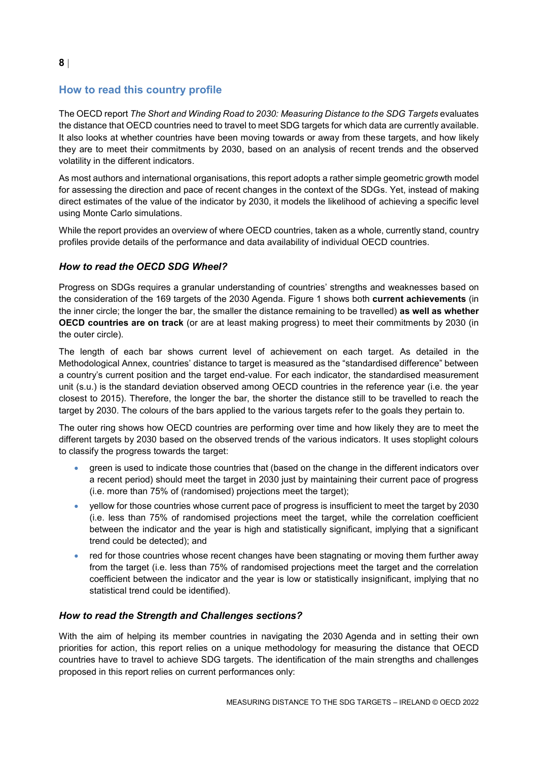# <span id="page-7-0"></span>**How to read this country profile**

The OECD report *The Short and Winding Road to 2030: Measuring Distance to the SDG Targets* evaluates the distance that OECD countries need to travel to meet SDG targets for which data are currently available. It also looks at whether countries have been moving towards or away from these targets, and how likely they are to meet their commitments by 2030, based on an analysis of recent trends and the observed volatility in the different indicators.

As most authors and international organisations, this report adopts a rather simple geometric growth model for assessing the direction and pace of recent changes in the context of the SDGs. Yet, instead of making direct estimates of the value of the indicator by 2030, it models the likelihood of achieving a specific level using Monte Carlo simulations.

While the report provides an overview of where OECD countries, taken as a whole, currently stand, country profiles provide details of the performance and data availability of individual OECD countries.

## *How to read the OECD SDG Wheel?*

Progress on SDGs requires a granular understanding of countries' strengths and weaknesses based on the consideration of the 169 targets of the 2030 Agenda. [Figure](#page-0-0) 1 shows both **current achievements** (in the inner circle; the longer the bar, the smaller the distance remaining to be travelled) **as well as whether OECD countries are on track** (or are at least making progress) to meet their commitments by 2030 (in the outer circle).

The length of each bar shows current level of achievement on each target. As detailed in the Methodological Annex, countries' distance to target is measured as the "standardised difference" between a country's current position and the target end-value. For each indicator, the standardised measurement unit (s.u.) is the standard deviation observed among OECD countries in the reference year (i.e. the year closest to 2015). Therefore, the longer the bar, the shorter the distance still to be travelled to reach the target by 2030. The colours of the bars applied to the various targets refer to the goals they pertain to.

The outer ring shows how OECD countries are performing over time and how likely they are to meet the different targets by 2030 based on the observed trends of the various indicators. It uses stoplight colours to classify the progress towards the target:

- green is used to indicate those countries that (based on the change in the different indicators over a recent period) should meet the target in 2030 just by maintaining their current pace of progress (i.e. more than 75% of (randomised) projections meet the target);
- yellow for those countries whose current pace of progress is insufficient to meet the target by 2030 (i.e. less than 75% of randomised projections meet the target, while the correlation coefficient between the indicator and the year is high and statistically significant, implying that a significant trend could be detected); and
- red for those countries whose recent changes have been stagnating or moving them further away from the target (i.e. less than 75% of randomised projections meet the target and the correlation coefficient between the indicator and the year is low or statistically insignificant, implying that no statistical trend could be identified).

## *How to read the Strength and Challenges sections?*

With the aim of helping its member countries in navigating the 2030 Agenda and in setting their own priorities for action, this report relies on a unique methodology for measuring the distance that OECD countries have to travel to achieve SDG targets. The identification of the main strengths and challenges proposed in this report relies on current performances only: